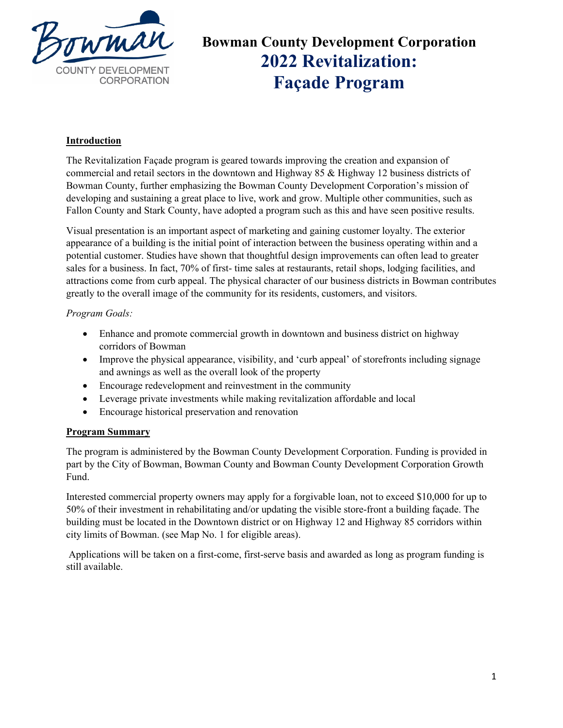

### **Bowman County Development Corporation 2022 Revitalization: Façade Program**

#### **Introduction**

The Revitalization Façade program is geared towards improving the creation and expansion of commercial and retail sectors in the downtown and Highway 85 & Highway 12 business districts of Bowman County, further emphasizing the Bowman County Development Corporation's mission of developing and sustaining a great place to live, work and grow. Multiple other communities, such as Fallon County and Stark County, have adopted a program such as this and have seen positive results.

Visual presentation is an important aspect of marketing and gaining customer loyalty. The exterior appearance of a building is the initial point of interaction between the business operating within and a potential customer. Studies have shown that thoughtful design improvements can often lead to greater sales for a business. In fact, 70% of first- time sales at restaurants, retail shops, lodging facilities, and attractions come from curb appeal. The physical character of our business districts in Bowman contributes greatly to the overall image of the community for its residents, customers, and visitors.

#### *Program Goals:*

- Enhance and promote commercial growth in downtown and business district on highway corridors of Bowman
- Improve the physical appearance, visibility, and 'curb appeal' of storefronts including signage and awnings as well as the overall look of the property
- Encourage redevelopment and reinvestment in the community
- Leverage private investments while making revitalization affordable and local
- Encourage historical preservation and renovation

#### **Program Summary**

The program is administered by the Bowman County Development Corporation. Funding is provided in part by the City of Bowman, Bowman County and Bowman County Development Corporation Growth Fund.

Interested commercial property owners may apply for a forgivable loan, not to exceed \$10,000 for up to 50% of their investment in rehabilitating and/or updating the visible store-front a building façade. The building must be located in the Downtown district or on Highway 12 and Highway 85 corridors within city limits of Bowman. (see Map No. 1 for eligible areas).

Applications will be taken on a first-come, first-serve basis and awarded as long as program funding is still available.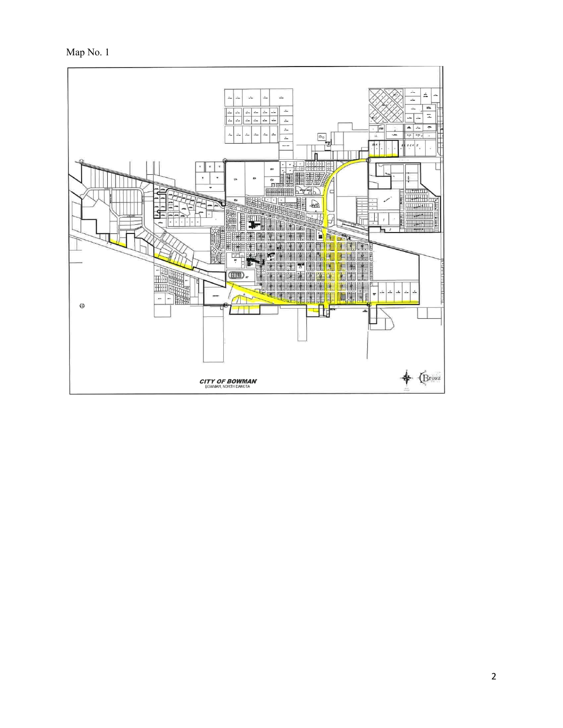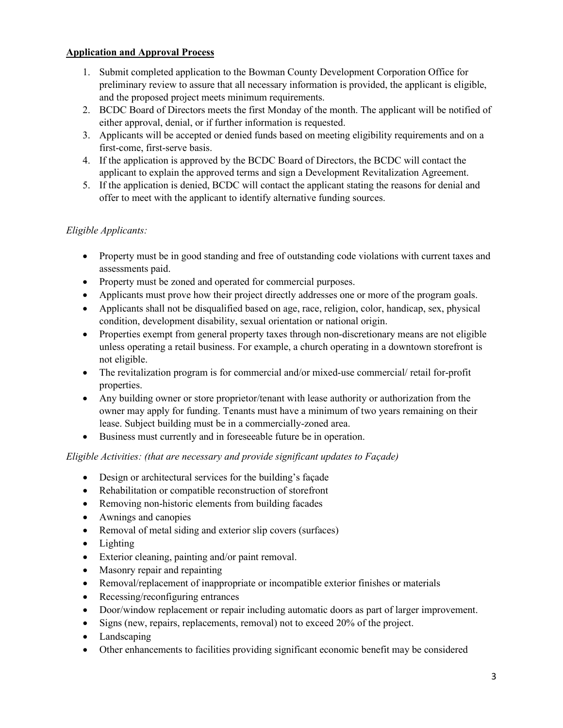#### **Application and Approval Process**

- 1. Submit completed application to the Bowman County Development Corporation Office for preliminary review to assure that all necessary information is provided, the applicant is eligible, and the proposed project meets minimum requirements.
- 2. BCDC Board of Directors meets the first Monday of the month. The applicant will be notified of either approval, denial, or if further information is requested.
- 3. Applicants will be accepted or denied funds based on meeting eligibility requirements and on a first-come, first-serve basis.
- 4. If the application is approved by the BCDC Board of Directors, the BCDC will contact the applicant to explain the approved terms and sign a Development Revitalization Agreement.
- 5. If the application is denied, BCDC will contact the applicant stating the reasons for denial and offer to meet with the applicant to identify alternative funding sources.

#### *Eligible Applicants:*

- Property must be in good standing and free of outstanding code violations with current taxes and assessments paid.
- Property must be zoned and operated for commercial purposes.
- Applicants must prove how their project directly addresses one or more of the program goals.
- Applicants shall not be disqualified based on age, race, religion, color, handicap, sex, physical condition, development disability, sexual orientation or national origin.
- Properties exempt from general property taxes through non-discretionary means are not eligible unless operating a retail business. For example, a church operating in a downtown storefront is not eligible.
- The revitalization program is for commercial and/or mixed-use commercial/ retail for-profit properties.
- Any building owner or store proprietor/tenant with lease authority or authorization from the owner may apply for funding. Tenants must have a minimum of two years remaining on their lease. Subject building must be in a commercially-zoned area.
- Business must currently and in foreseeable future be in operation.

#### *Eligible Activities: (that are necessary and provide significant updates to Façade)*

- Design or architectural services for the building's façade
- Rehabilitation or compatible reconstruction of storefront
- Removing non-historic elements from building facades
- Awnings and canopies
- Removal of metal siding and exterior slip covers (surfaces)
- Lighting
- Exterior cleaning, painting and/or paint removal.
- Masonry repair and repainting
- Removal/replacement of inappropriate or incompatible exterior finishes or materials
- Recessing/reconfiguring entrances
- Door/window replacement or repair including automatic doors as part of larger improvement.
- Signs (new, repairs, replacements, removal) not to exceed 20% of the project.
- Landscaping
- Other enhancements to facilities providing significant economic benefit may be considered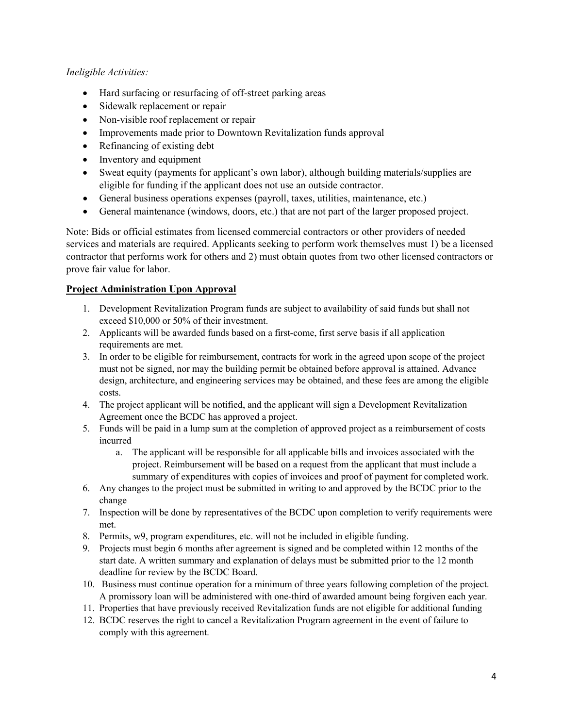#### *Ineligible Activities:*

- Hard surfacing or resurfacing of off-street parking areas
- Sidewalk replacement or repair
- Non-visible roof replacement or repair
- Improvements made prior to Downtown Revitalization funds approval
- Refinancing of existing debt
- Inventory and equipment
- Sweat equity (payments for applicant's own labor), although building materials/supplies are eligible for funding if the applicant does not use an outside contractor.
- General business operations expenses (payroll, taxes, utilities, maintenance, etc.)
- General maintenance (windows, doors, etc.) that are not part of the larger proposed project.

Note: Bids or official estimates from licensed commercial contractors or other providers of needed services and materials are required. Applicants seeking to perform work themselves must 1) be a licensed contractor that performs work for others and 2) must obtain quotes from two other licensed contractors or prove fair value for labor.

#### **Project Administration Upon Approval**

- 1. Development Revitalization Program funds are subject to availability of said funds but shall not exceed \$10,000 or 50% of their investment.
- 2. Applicants will be awarded funds based on a first-come, first serve basis if all application requirements are met.
- 3. In order to be eligible for reimbursement, contracts for work in the agreed upon scope of the project must not be signed, nor may the building permit be obtained before approval is attained. Advance design, architecture, and engineering services may be obtained, and these fees are among the eligible costs.
- 4. The project applicant will be notified, and the applicant will sign a Development Revitalization Agreement once the BCDC has approved a project.
- 5. Funds will be paid in a lump sum at the completion of approved project as a reimbursement of costs incurred
	- a. The applicant will be responsible for all applicable bills and invoices associated with the project. Reimbursement will be based on a request from the applicant that must include a summary of expenditures with copies of invoices and proof of payment for completed work.
- 6. Any changes to the project must be submitted in writing to and approved by the BCDC prior to the change
- 7. Inspection will be done by representatives of the BCDC upon completion to verify requirements were met.
- 8. Permits, w9, program expenditures, etc. will not be included in eligible funding.
- 9. Projects must begin 6 months after agreement is signed and be completed within 12 months of the start date. A written summary and explanation of delays must be submitted prior to the 12 month deadline for review by the BCDC Board.
- 10. Business must continue operation for a minimum of three years following completion of the project. A promissory loan will be administered with one-third of awarded amount being forgiven each year.
- 11. Properties that have previously received Revitalization funds are not eligible for additional funding
- 12. BCDC reserves the right to cancel a Revitalization Program agreement in the event of failure to comply with this agreement.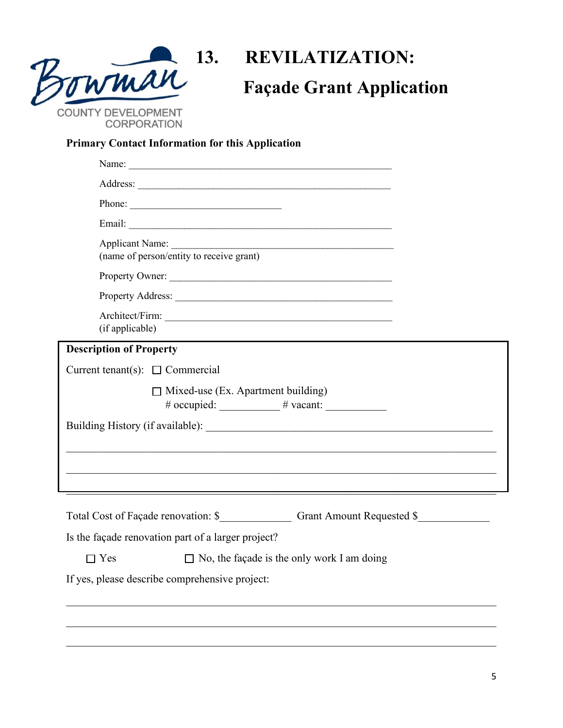

### **13. REVILATIZATION: Façade Grant Application**

#### **Primary Contact Information for this Application**

| Applicant Name:<br>(name of person/entity to receive grant)                                  |  |
|----------------------------------------------------------------------------------------------|--|
| Property Owner:                                                                              |  |
| Property Address:                                                                            |  |
| (if applicable)                                                                              |  |
| <b>Description of Property</b>                                                               |  |
| Current tenant(s): $\Box$ Commercial                                                         |  |
| $\Box$ Mixed-use (Ex. Apartment building)<br># occupied: ____________ # vacant: ____________ |  |
|                                                                                              |  |
|                                                                                              |  |
|                                                                                              |  |
|                                                                                              |  |
|                                                                                              |  |
| Total Cost of Façade renovation: \$ Grant Amount Requested \$                                |  |
| Is the façade renovation part of a larger project?                                           |  |
| $\Box$ No, the façade is the only work I am doing<br>$\Box$ Yes                              |  |
| If yes, please describe comprehensive project:                                               |  |
|                                                                                              |  |
|                                                                                              |  |

\_\_\_\_\_\_\_\_\_\_\_\_\_\_\_\_\_\_\_\_\_\_\_\_\_\_\_\_\_\_\_\_\_\_\_\_\_\_\_\_\_\_\_\_\_\_\_\_\_\_\_\_\_\_\_\_\_\_\_\_\_\_\_\_\_\_\_\_\_\_\_\_\_\_\_\_\_\_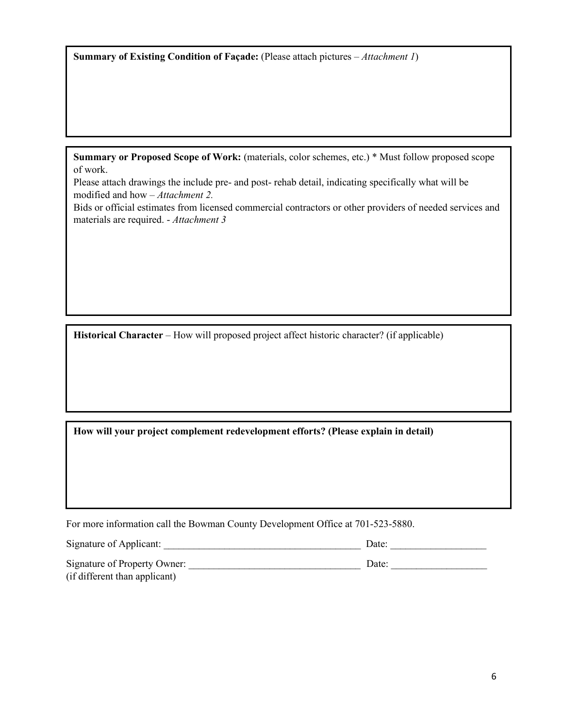**Summary of Existing Condition of Façade:** (Please attach pictures – *Attachment 1*)

**Summary or Proposed Scope of Work:** (materials, color schemes, etc.) \* Must follow proposed scope of work.

Please attach drawings the include pre- and post- rehab detail, indicating specifically what will be modified and how – *Attachment 2.*

Bids or official estimates from licensed commercial contractors or other providers of needed services and materials are required. - *Attachment 3*

**Historical Character** – How will proposed project affect historic character? (if applicable)

**How will your project complement redevelopment efforts? (Please explain in detail)**

For more information call the Bowman County Development Office at 701-523-5880.

| Signature of Applicant:       | Date: |
|-------------------------------|-------|
| Signature of Property Owner:  | Date: |
| (if different than applicant) |       |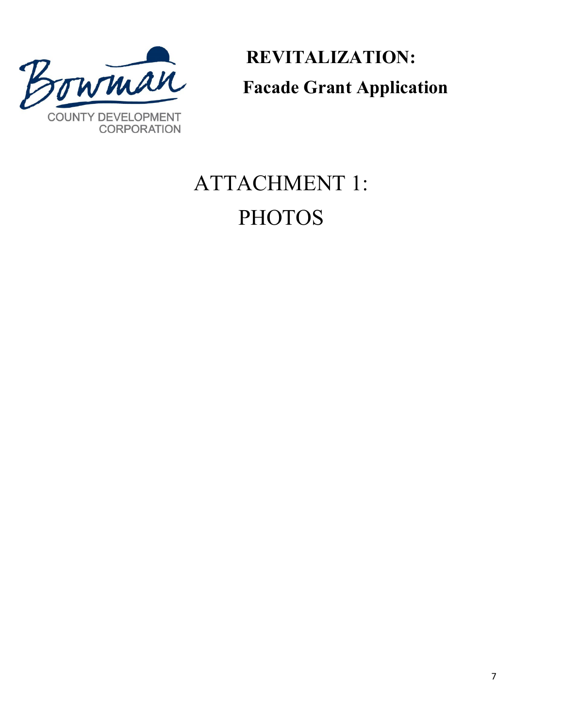

 **REVITALIZATION: Facade Grant Application**

# ATTACHMENT 1: **PHOTOS**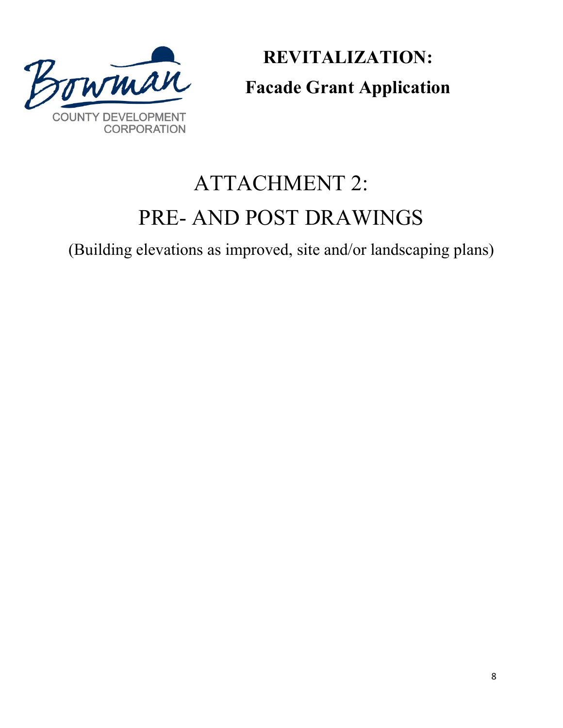

**REVITALIZATION: Facade Grant Application**

## ATTACHMENT 2: PRE- AND POST DRAWINGS

(Building elevations as improved, site and/or landscaping plans)